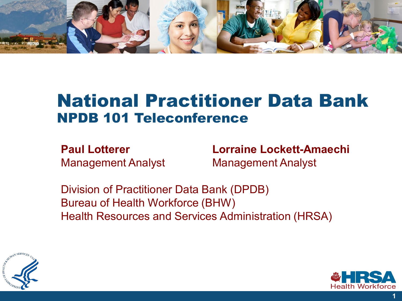

### National Practitioner Data Bank NPDB 101 Teleconference

**Paul Lotterer Lorraine Lockett-Amaechi**  Management Analyst Management Analyst

Division of Practitioner Data Bank (DPDB) Bureau of Health Workforce (BHW) Health Resources and Services Administration (HRSA)



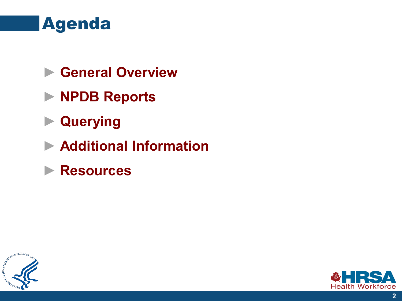

- ► **General Overview**
- ► **NPDB Reports**
- ► **Querying**
- ► **Additional Information**
- ► **Resources**



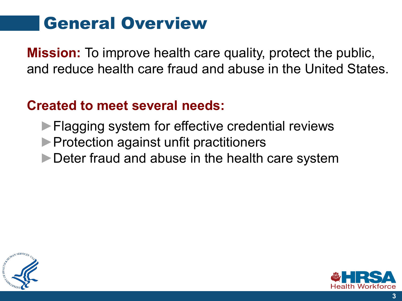## General Overview

**Mission:** To improve health care quality, protect the public, and reduce health care fraud and abuse in the United States.

### **Created to meet several needs:**

- ► Flagging system for effective credential reviews
- ►Protection against unfit practitioners
- ►Deter fraud and abuse in the health care system



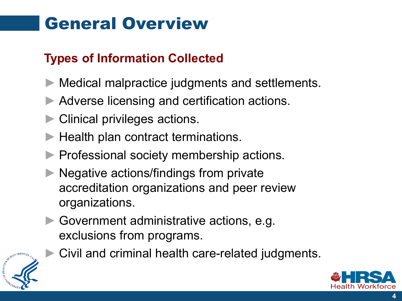## General Overview

### **Types of Information Collected**

- Medical malpractice judgments and settlements.
- ► Adverse licensing and certification actions.
- Clinical privileges actions.
- ► Health plan contract terminations.
- Professional society membership actions.
- ► Negative actions/findings from private accreditation organizations and peer review organizations.
- ► Government administrative actions, e.g. exclusions from programs.



Civil and criminal health care-related judgments.

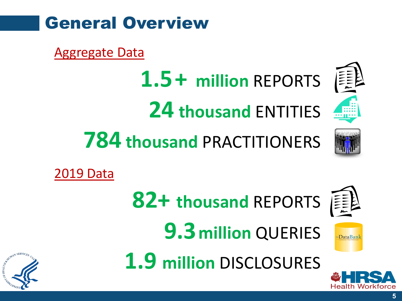

Aggregate Data

- **1.5+ million** REPORTS **24 thousand** ENTITIES
- **784 thousand** PRACTITIONERS





**DataBan** 

2019 Data







**1.9 million** DISCLOSURES

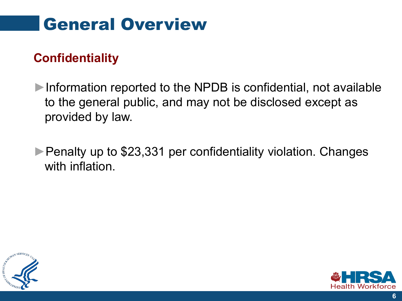## General Overview

### **Confidentiality**

►Information reported to the NPDB is confidential, not available to the general public, and may not be disclosed except as provided by law.

► Penalty up to \$23,331 per confidentiality violation. Changes with inflation.



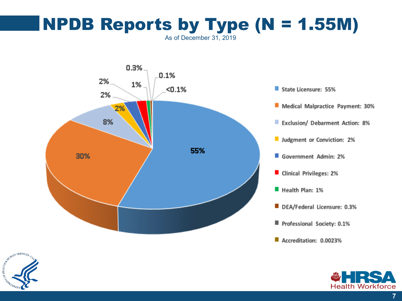### **NPDB Reports by Type (N = 1.55M)** As of December 31, 2019





- Medical Malpractice Payment: 30%
- **Exclusion/ Debarment Action: 8%**
- Judgment or Conviction: 2%
- Government Admin: 2%
- Clinical Privileges: 2%
- Health Plan: 1%
- DEA/Federal Licensure: 0.3%
- Professional Society: 0.1%
- Accreditation: 0.0023%



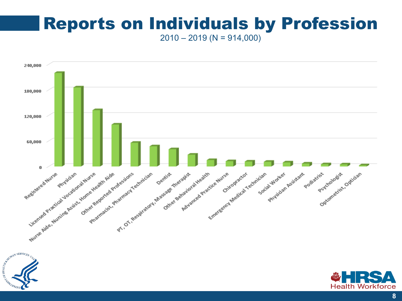## Reports on Individuals by Profession

 $2010 - 2019$  (N = 914,000)



**8**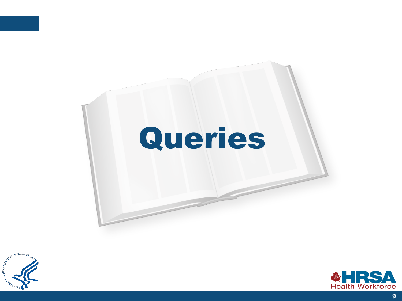



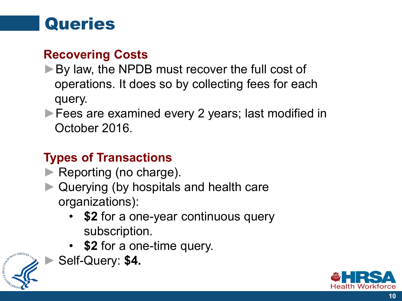## **Queries**

### **Recovering Costs**

- ► By law, the NPDB must recover the full cost of operations. It does so by collecting fees for each query.
- ► Fees are examined every 2 years; last modified in October 2016.

### **Types of Transactions**

- ► Reporting (no charge).
- ► Querying (by hospitals and health care organizations):
	- **\$2** for a one-year continuous query subscription.
	- **\$2** for a one-time query.



► Self-Query: **\$4.**

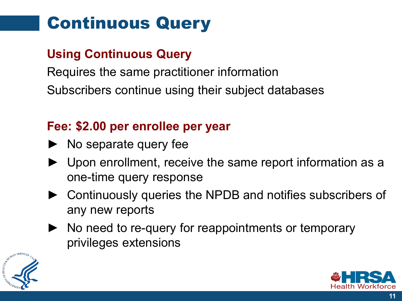## Continuous Query

### **Using Continuous Query**

Requires the same practitioner information

Subscribers continue using their subject databases

### **Fee: \$2.00 per enrollee per year**

- ► No separate query fee
- Upon enrollment, receive the same report information as a one-time query response
- Continuously queries the NPDB and notifies subscribers of any new reports
- ► No need to re-query for reappointments or temporary privileges extensions



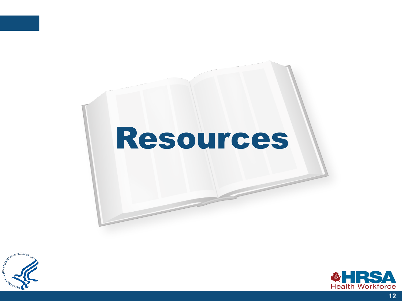# Resources



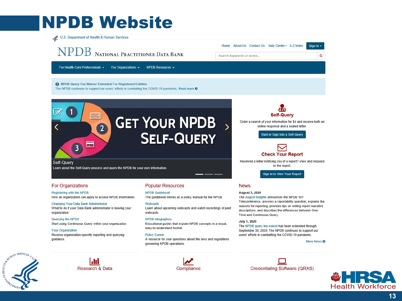## **NPDB Website**

U.S. Department of Health & Human Services

 $\mathscr{A}$ 

Self-Query

organization

guidance.

Querying the NPDB

**Your Organization** 

**For Organizations** 

Registering with the NPDB

**Changing Your Data Bank Administrator** 

NPDB NATIONAL PRACTITIONER DATA BANK

Home About Us Contact Us Help Center - A-Z Index

Search keywords or terms...

For Health Care Professionals + For Organizations -NPDB Resources -

**O** NPDB Query Fee Waiver Extended For Registered Entities

333

Learn about the Self-Query process and query the NPDB for your own information

E

How an organization can apply to access NPDB information.

What to do if your Data Bank administrator is leaving your

Start using Continuous Query within your organization.

Receive organization-specific reporting and querying

 $3<sup>1</sup>$ 

The NPDB continues to support our users' efforts in combating the COVID-19 pandemic. Read more O



**Popular Resources** 

**NPDB Guidebook** 

**NPDB** Infographics

**Policy Corner** 

easy-to-understand format.

governing NPDB operations.

Webcasts

webcasts.

**Self-Query** 

Order a search of your information for \$4 and receive both an online response and a sealed letter.

Start or Sign Into a Self-Query



Received a letter notifying you of a report? View and respond to the report.

Sign in to View Your Report

#### **News**

#### **August 5, 2020**

The August Insights announces the NPDB 101 Teleconference, answers a reportability question, explains the reasons for reporting, provides tips on writing report narrative descriptions, and describes the differences between One-Time and Continuous Query.

July 1, 2020

The NPDB query fee waiver has been extended through September 30, 2020. The NPDB continues to support our users' efforts in combatting the COVID-19 pandemic.

#### More News <sup>O</sup>

Sign In -

 $\mathsf Q$ 







The guidebook serves as a policy manual for the NPDB.

Learn about upcoming webcasts and watch recordings of past

Educational guides that explain NPDB concepts in a visual,

A resource for your questions about the laws and regulations

Credentialing Software (QRXS)



13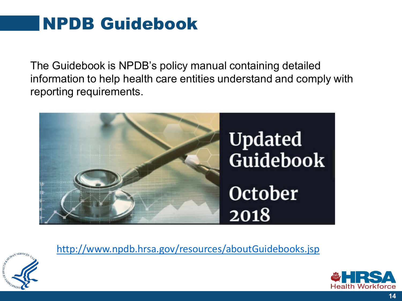## NPDB Guidebook

The Guidebook is NPDB's policy manual containing detailed information to help health care entities understand and comply with reporting requirements.





<http://www.npdb.hrsa.gov/resources/aboutGuidebooks.jsp>

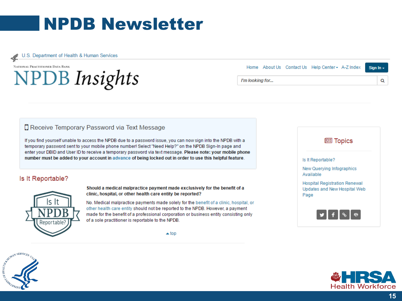## **NPDB Newsletter**

U.S. Department of Health & Human Services

#### NATIONAL PRACTITIONER DATA BANK

## **NPDB** Insights

Home About Us Contact Us Help Center - A-Z Index Sign In -I'm looking for... Q

#### **D** Receive Temporary Password via Text Message

If you find yourself unable to access the NPDB due to a password issue, you can now sign into the NPDB with a temporary password sent to your mobile phone number! Select "Need Help?" on the NPDB Sign-In page and enter your DBID and User ID to receive a temporary password via text message. Please note: your mobile phone number must be added to your account in advance of being locked out in order to use this helpful feature.

#### Is It Reportable?



Should a medical malpractice payment made exclusively for the benefit of a clinic, hospital, or other health care entity be reported?

No. Medical malpractice payments made solely for the benefit of a clinic, hospital, or other health care entity should not be reported to the NPDB. However, a payment made for the benefit of a professional corporation or business entity consisting only of a sole practitioner is reportable to the NPDB.

 $\triangle$  top





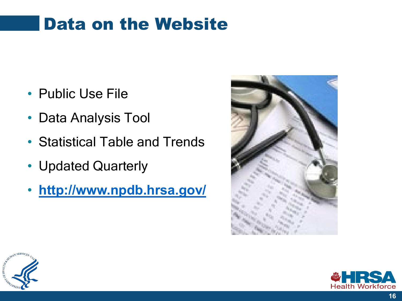## Data on the Website

- Public Use File
- Data Analysis Tool
- Statistical Table and Trends
- Updated Quarterly
- **<http://www.npdb.hrsa.gov/>**





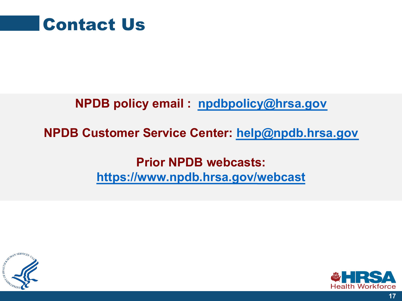

### **NPDB policy email : [npdbpolicy@hrsa.gov](mailto:npdbpolicy@hrsa.gov)**

### **NPDB Customer Service Center: [help@npdb.hrsa.gov](mailto:help@npdb.hrsa.gov)**

### **Prior NPDB webcasts: [https://www.npdb.hrsa.gov/](https://www.npdb.hrsa.gov/community_n_education/webcasts.jsp)[webcast](https://www.npdb.hrsa.gov/community_n_education/webcasts.jsp)**



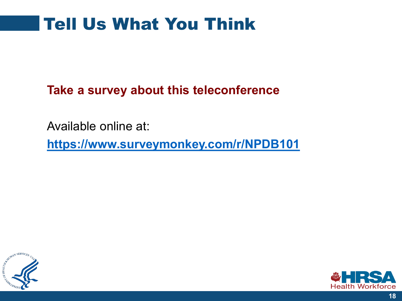## Tell Us What You Think

**Take a survey about this teleconference**

Available online at:

**<https://www.surveymonkey.com/r/NPDB101>**